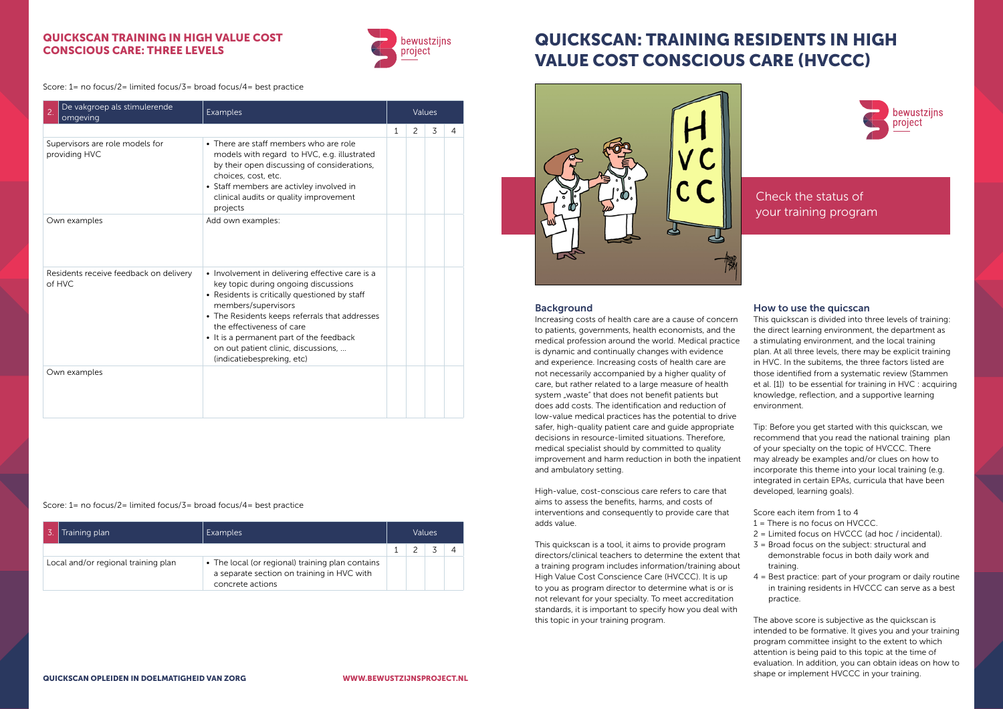# QUICKSCAN: TRAINING RESIDENTS IN HIGH VALUE COST CONSCIOUS CARE (HVCCC)



## Background

Increasing costs of health care are a cause of concern to patients, governments, health economists, and the medical profession around the world. Medical practice is dynamic and continually changes with evidence and experience. Increasing costs of health care are not necessarily accompanied by a higher quality of care, but rather related to a large measure of health system "waste" that does not benefit patients but does add costs. The identification and reduction of low-value medical practices has the potential to drive safer, high-quality patient care and guide appropriate decisions in resource-limited situations. Therefore, medical specialist should by committed to quality improvement and harm reduction in both the inpatient and ambulatory setting.

High-value, cost-conscious care refers to care that aims to assess the benefits, harms, and costs of interventions and consequently to provide care that adds value.

This quickscan is a tool, it aims to provide program directors/clinical teachers to determine the extent that a training program includes information/training about High Value Cost Conscience Care (HVCCC). It is up to you as program director to determine what is or is not relevant for your specialty. To meet accreditation standards, it is important to specify how you deal with this topic in your training program.

Check the status of your training program

### How to use the quicscan

This quickscan is divided into three levels of training: the direct learning environment, the department as a stimulating environment, and the local training plan. At all three levels, there may be explicit training in HVC. In the subitems, the three factors listed are those identified from a systematic review (Stammen et al. [1]) to be essential for training in HVC : acquiring knowledge, reflection, and a supportive learning environment.

Tip: Before you get started with this quickscan, we recommend that you read the national training plan of your specialty on the topic of HVCCC. There may already be examples and/or clues on how to incorporate this theme into your local training (e.g. integrated in certain EPAs, curricula that have been developed, learning goals).

Score each item from 1 to 4

- 1 = There is no focus on HVCCC.
- 2 = Limited focus on HVCCC (ad hoc / incidental).
- 3 = Broad focus on the subject: structural and demonstrable focus in both daily work and training.
- 4 = Best practice: part of your program or daily routine in training residents in HVCCC can serve as a best practice.

The above score is subjective as the quickscan is intended to be formative. It gives you and your training program committee insight to the extent to which attention is being paid to this topic at the time of evaluation. In addition, you can obtain ideas on how to shape or implement HVCCC in your training.

# QUICKSCAN TRAINING IN HIGH VALUE COST CONSCIOUS CARE: THREE LEVELS



Score: 1= no focus/2= limited focus/3= broad focus/4= best practice

Score: 1= no focus/2= limited focus/3= broad focus/4= best practice

| De vakgroep als stimulerende<br>2.<br>omgeving   | Examples                                                                                                                                                                                                                                                                                                                                                        | Values |   |   |   |
|--------------------------------------------------|-----------------------------------------------------------------------------------------------------------------------------------------------------------------------------------------------------------------------------------------------------------------------------------------------------------------------------------------------------------------|--------|---|---|---|
|                                                  |                                                                                                                                                                                                                                                                                                                                                                 | 1      | 2 | 3 | 4 |
| Supervisors are role models for<br>providing HVC | • There are staff members who are role<br>models with regard to HVC, e.g. illustrated<br>by their open discussing of considerations,<br>choices, cost, etc.<br>• Staff members are activley involved in<br>clinical audits or quality improvement<br>projects                                                                                                   |        |   |   |   |
| Own examples                                     | Add own examples:                                                                                                                                                                                                                                                                                                                                               |        |   |   |   |
| Residents receive feedback on delivery<br>of HVC | • Involvement in delivering effective care is a<br>key topic during ongoing discussions<br>• Residents is critically questioned by staff<br>members/supervisors<br>• The Residents keeps referrals that addresses<br>the effectiveness of care<br>• It is a permanent part of the feedback<br>on out patient clinic, discussions,<br>(indicatiebespreking, etc) |        |   |   |   |
| Own examples                                     |                                                                                                                                                                                                                                                                                                                                                                 |        |   |   |   |

| Training plan                       | Examples                                                                                                         | Values |  |  |  |  |
|-------------------------------------|------------------------------------------------------------------------------------------------------------------|--------|--|--|--|--|
|                                     |                                                                                                                  |        |  |  |  |  |
| Local and/or regional training plan | The local (or regional) training plan contains<br>a separate section on training in HVC with<br>concrete actions |        |  |  |  |  |